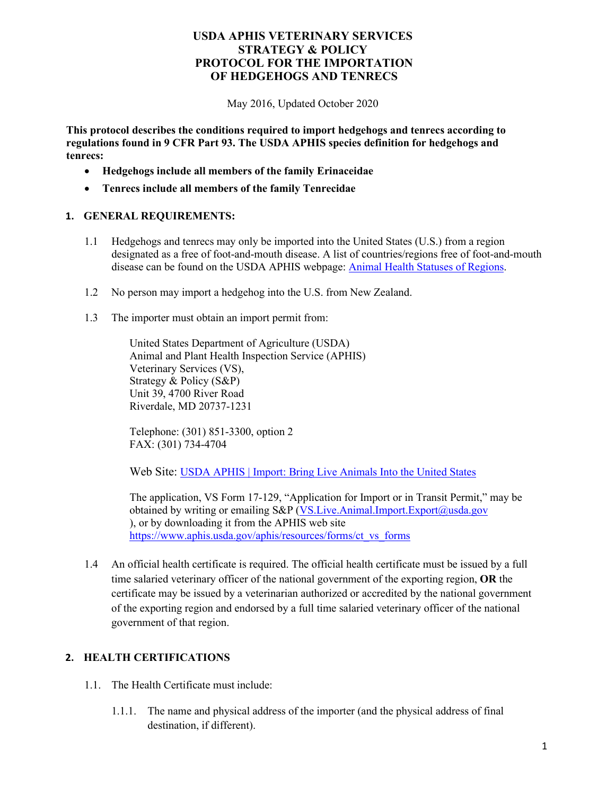May 2016, Updated October 2020

**This protocol describes the conditions required to import hedgehogs and tenrecs according to regulations found in 9 CFR Part 93. The USDA APHIS species definition for hedgehogs and tenrecs:**

- **Hedgehogs include all members of the family Erinaceidae**
- **Tenrecs include all members of the family Tenrecidae**

#### **1. GENERAL REQUIREMENTS:**

- 1.1 Hedgehogs and tenrecs may only be imported into the United States (U.S.) from a region designated as a free of foot-and-mouth disease. A list of countries/regions free of foot-and-mouth disease can be found on the USDA APHIS webpage: [Animal Health Statuses of Regions.](https://www.aphis.usda.gov/aphis/ourfocus/animalhealth/animal-and-animal-product-import-information/animal-health-status-of-regions)
- 1.2 No person may import a hedgehog into the U.S. from New Zealand.
- 1.3 The importer must obtain an import permit from:

United States Department of Agriculture (USDA) Animal and Plant Health Inspection Service (APHIS) Veterinary Services (VS), Strategy & Policy (S&P) Unit 39, 4700 River Road Riverdale, MD 20737-1231

Telephone: (301) 851-3300, option 2 FAX: (301) 734-4704

Web Site: [USDA APHIS | Import: Bring Live Animals Into the United States](https://www.aphis.usda.gov/aphis/ourfocus/animalhealth/animal-and-animal-product-import-information/imports/live-animal-imports)

The application, VS Form 17-129, "Application for Import or in Transit Permit," may be obtained by writing or emailing S&P [\(VS.Live.Animal.Import.Export@usda.gov](mailto:VS.Live.Animal.Import.Export@usda.gov) ), or by downloading it from the APHIS web site [https://www.aphis.usda.gov/aphis/resources/forms/ct\\_vs\\_forms](https://www.aphis.usda.gov/aphis/resources/forms/ct_vs_forms)

1.4 An official health certificate is required. The official health certificate must be issued by a full time salaried veterinary officer of the national government of the exporting region, **OR** the certificate may be issued by a veterinarian authorized or accredited by the national government of the exporting region and endorsed by a full time salaried veterinary officer of the national government of that region.

### **2. HEALTH CERTIFICATIONS**

- 1.1. The Health Certificate must include:
	- 1.1.1. The name and physical address of the importer (and the physical address of final destination, if different).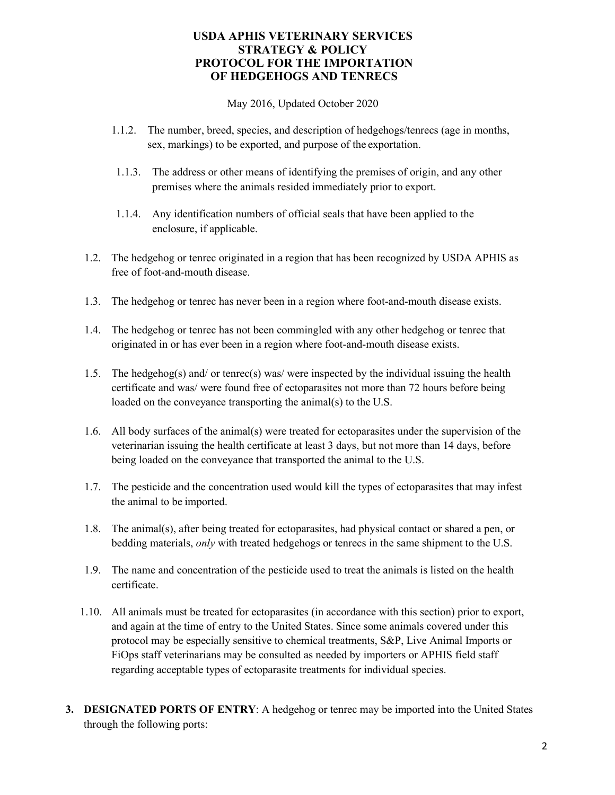May 2016, Updated October 2020

- 1.1.2. The number, breed, species, and description of hedgehogs/tenrecs (age in months, sex, markings) to be exported, and purpose of the exportation.
- 1.1.3. The address or other means of identifying the premises of origin, and any other premises where the animals resided immediately prior to export.
- 1.1.4. Any identification numbers of official seals that have been applied to the enclosure, if applicable.
- 1.2. The hedgehog or tenrec originated in a region that has been recognized by USDA APHIS as free of foot-and-mouth disease.
- 1.3. The hedgehog or tenrec has never been in a region where foot-and-mouth disease exists.
- 1.4. The hedgehog or tenrec has not been commingled with any other hedgehog or tenrec that originated in or has ever been in a region where foot-and-mouth disease exists.
- 1.5. The hedgehog(s) and/ or tenrec(s) was/ were inspected by the individual issuing the health certificate and was/ were found free of ectoparasites not more than 72 hours before being loaded on the conveyance transporting the animal(s) to the U.S.
- 1.6. All body surfaces of the animal(s) were treated for ectoparasites under the supervision of the veterinarian issuing the health certificate at least 3 days, but not more than 14 days, before being loaded on the conveyance that transported the animal to the U.S.
- 1.7. The pesticide and the concentration used would kill the types of ectoparasites that may infest the animal to be imported.
- 1.8. The animal(s), after being treated for ectoparasites, had physical contact or shared a pen, or bedding materials, *only* with treated hedgehogs or tenrecs in the same shipment to the U.S.
- 1.9. The name and concentration of the pesticide used to treat the animals is listed on the health certificate.
- 1.10. All animals must be treated for ectoparasites (in accordance with this section) prior to export, and again at the time of entry to the United States. Since some animals covered under this protocol may be especially sensitive to chemical treatments, S&P, Live Animal Imports or FiOps staff veterinarians may be consulted as needed by importers or APHIS field staff regarding acceptable types of ectoparasite treatments for individual species.
- **3. DESIGNATED PORTS OF ENTRY**: A hedgehog or tenrec may be imported into the United States through the following ports: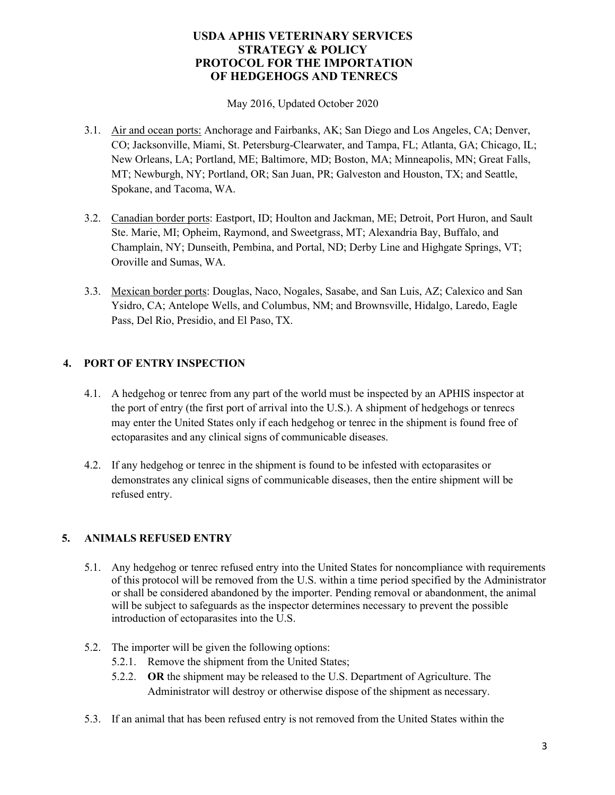May 2016, Updated October 2020

- 3.1. Air and ocean ports: Anchorage and Fairbanks, AK; San Diego and Los Angeles, CA; Denver, CO; Jacksonville, Miami, St. Petersburg-Clearwater, and Tampa, FL; Atlanta, GA; Chicago, IL; New Orleans, LA; Portland, ME; Baltimore, MD; Boston, MA; Minneapolis, MN; Great Falls, MT; Newburgh, NY; Portland, OR; San Juan, PR; Galveston and Houston, TX; and Seattle, Spokane, and Tacoma, WA.
- 3.2. Canadian border ports: Eastport, ID; Houlton and Jackman, ME; Detroit, Port Huron, and Sault Ste. Marie, MI; Opheim, Raymond, and Sweetgrass, MT; Alexandria Bay, Buffalo, and Champlain, NY; Dunseith, Pembina, and Portal, ND; Derby Line and Highgate Springs, VT; Oroville and Sumas, WA.
- 3.3. Mexican border ports: Douglas, Naco, Nogales, Sasabe, and San Luis, AZ; Calexico and San Ysidro, CA; Antelope Wells, and Columbus, NM; and Brownsville, Hidalgo, Laredo, Eagle Pass, Del Rio, Presidio, and El Paso, TX.

## **4. PORT OF ENTRY INSPECTION**

- 4.1. A hedgehog or tenrec from any part of the world must be inspected by an APHIS inspector at the port of entry (the first port of arrival into the U.S.). A shipment of hedgehogs or tenrecs may enter the United States only if each hedgehog or tenrec in the shipment is found free of ectoparasites and any clinical signs of communicable diseases.
- 4.2. If any hedgehog or tenrec in the shipment is found to be infested with ectoparasites or demonstrates any clinical signs of communicable diseases, then the entire shipment will be refused entry.

## **5. ANIMALS REFUSED ENTRY**

- 5.1. Any hedgehog or tenrec refused entry into the United States for noncompliance with requirements of this protocol will be removed from the U.S. within a time period specified by the Administrator or shall be considered abandoned by the importer. Pending removal or abandonment, the animal will be subject to safeguards as the inspector determines necessary to prevent the possible introduction of ectoparasites into the U.S.
- 5.2. The importer will be given the following options:
	- 5.2.1. Remove the shipment from the United States;
	- 5.2.2. **OR** the shipment may be released to the U.S. Department of Agriculture. The Administrator will destroy or otherwise dispose of the shipment as necessary.
- 5.3. If an animal that has been refused entry is not removed from the United States within the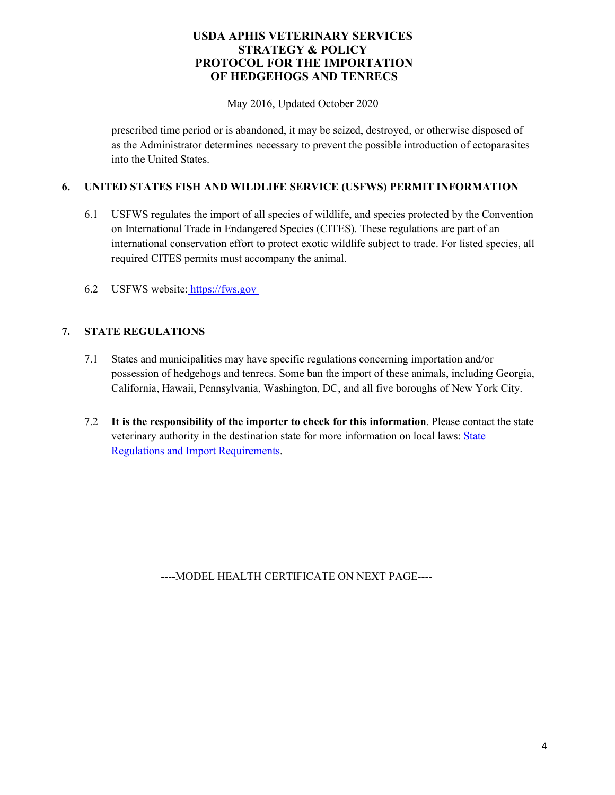May 2016, Updated October 2020

prescribed time period or is abandoned, it may be seized, destroyed, or otherwise disposed of as the Administrator determines necessary to prevent the possible introduction of ectoparasites into the United States.

## **6. UNITED STATES FISH AND WILDLIFE SERVICE (USFWS) PERMIT INFORMATION**

- 6.1 USFWS regulates the import of all species of wildlife, and species protected by the Convention on International Trade in Endangered Species (CITES). These regulations are part of an international conservation effort to protect exotic wildlife subject to trade. For listed species, all required CITES permits must accompany the animal.
- 6.2 USFWS website: [https://fws.gov](https://fws.gov/)

# **7. STATE REGULATIONS**

- 7.1 States and municipalities may have specific regulations concerning importation and/or possession of hedgehogs and tenrecs. Some ban the import of these animals, including Georgia, California, Hawaii, Pennsylvania, Washington, DC, and all five boroughs of New York City.
- 7.2 **It is the responsibility of the importer to check for this information**. Please contact the state veterinary authority in the destination state for more information on local laws: State [Regulations and Import Requirements.](https://www.aphis.usda.gov/aphis/ourfocus/animalhealth/animal-and-animal-product-import-information/entry-requirements/us-state-and-territory-animal-import-regulations)

----MODEL HEALTH CERTIFICATE ON NEXT PAGE----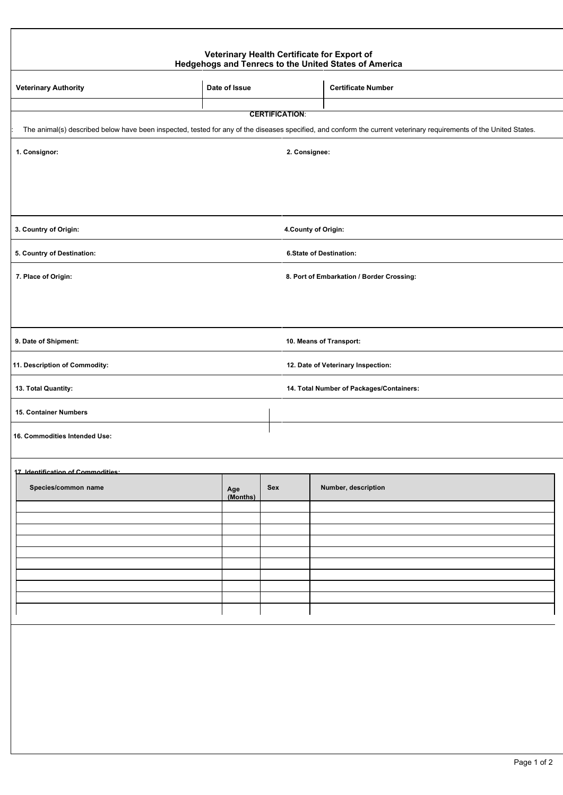#### **Veterinary Health Certificate for Export of Hedgehogs and Tenrecs to the United States of America**

| <b>Veterinary Authority</b>                                                                                                                                                                 | Date of Issue   |     |                         | <b>Certificate Number</b>                 |  |
|---------------------------------------------------------------------------------------------------------------------------------------------------------------------------------------------|-----------------|-----|-------------------------|-------------------------------------------|--|
|                                                                                                                                                                                             |                 |     |                         |                                           |  |
| <b>CERTIFICATION:</b><br>The animal(s) described below have been inspected, tested for any of the diseases specified, and conform the current veterinary requirements of the United States. |                 |     |                         |                                           |  |
| 1. Consignor:                                                                                                                                                                               |                 |     | 2. Consignee:           |                                           |  |
|                                                                                                                                                                                             |                 |     |                         |                                           |  |
|                                                                                                                                                                                             |                 |     |                         |                                           |  |
| 3. Country of Origin:                                                                                                                                                                       |                 |     |                         | 4. County of Origin:                      |  |
| 5. Country of Destination:                                                                                                                                                                  |                 |     | 6.State of Destination: |                                           |  |
| 7. Place of Origin:                                                                                                                                                                         |                 |     |                         | 8. Port of Embarkation / Border Crossing: |  |
|                                                                                                                                                                                             |                 |     |                         |                                           |  |
| 9. Date of Shipment:                                                                                                                                                                        |                 |     | 10. Means of Transport: |                                           |  |
| 11. Description of Commodity:                                                                                                                                                               |                 |     |                         | 12. Date of Veterinary Inspection:        |  |
| 13. Total Quantity:                                                                                                                                                                         |                 |     |                         | 14. Total Number of Packages/Containers:  |  |
| 15. Container Numbers                                                                                                                                                                       |                 |     |                         |                                           |  |
| 16. Commodities Intended Use:                                                                                                                                                               |                 |     |                         |                                           |  |
| 17. Identification of Commodities:                                                                                                                                                          |                 |     |                         |                                           |  |
| Species/common name                                                                                                                                                                         | Age<br>(Months) | Sex |                         | Number, description                       |  |
|                                                                                                                                                                                             |                 |     |                         |                                           |  |
|                                                                                                                                                                                             |                 |     |                         |                                           |  |
|                                                                                                                                                                                             |                 |     |                         |                                           |  |
|                                                                                                                                                                                             |                 |     |                         |                                           |  |
|                                                                                                                                                                                             |                 |     |                         |                                           |  |
|                                                                                                                                                                                             |                 |     |                         |                                           |  |
|                                                                                                                                                                                             |                 |     |                         |                                           |  |
|                                                                                                                                                                                             |                 |     |                         |                                           |  |